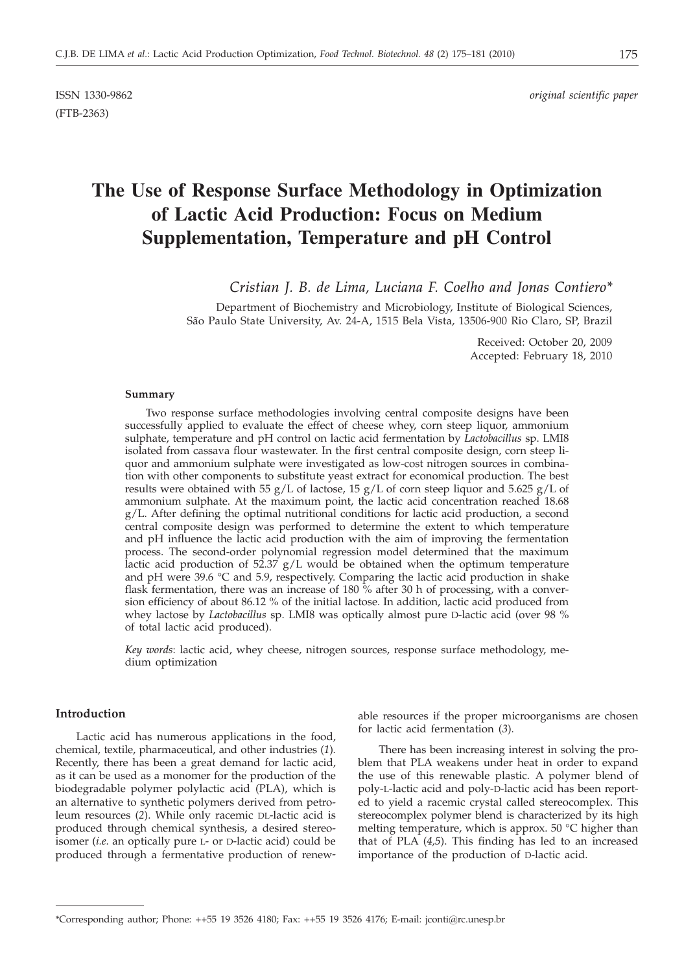(FTB-2363)

# **The Use of Response Surface Methodology in Optimization of Lactic Acid Production: Focus on Medium Supplementation, Temperature and pH Control**

*Cristian J. B. de Lima, Luciana F. Coelho and Jonas Contiero\**

Department of Biochemistry and Microbiology, Institute of Biological Sciences, São Paulo State University, Av. 24-A, 1515 Bela Vista, 13506-900 Rio Claro, SP, Brazil

> Received: October 20, 2009 Accepted: February 18, 2010

#### **Summary**

Two response surface methodologies involving central composite designs have been successfully applied to evaluate the effect of cheese whey, corn steep liquor, ammonium sulphate, temperature and pH control on lactic acid fermentation by *Lactobacillus* sp. LMI8 isolated from cassava flour wastewater. In the first central composite design, corn steep liquor and ammonium sulphate were investigated as low-cost nitrogen sources in combination with other components to substitute yeast extract for economical production. The best results were obtained with 55  $g/L$  of lactose, 15  $g/L$  of corn steep liquor and 5.625  $g/L$  of ammonium sulphate. At the maximum point, the lactic acid concentration reached 18.68  $g/L$ . After defining the optimal nutritional conditions for lactic acid production, a second central composite design was performed to determine the extent to which temperature and pH influence the lactic acid production with the aim of improving the fermentation process. The second-order polynomial regression model determined that the maximum lactic acid production of 52.37 g/L would be obtained when the optimum temperature and pH were 39.6 °C and 5.9, respectively. Comparing the lactic acid production in shake flask fermentation, there was an increase of 180 % after 30 h of processing, with a conversion efficiency of about 86.12 % of the initial lactose. In addition, lactic acid produced from whey lactose by *Lactobacillus* sp. LMI8 was optically almost pure D-lactic acid (over 98 % of total lactic acid produced).

*Key words*: lactic acid, whey cheese, nitrogen sources, response surface methodology, medium optimization

# **Introduction**

Lactic acid has numerous applications in the food, chemical, textile, pharmaceutical, and other industries (*1*). Recently, there has been a great demand for lactic acid, as it can be used as a monomer for the production of the biodegradable polymer polylactic acid (PLA), which is an alternative to synthetic polymers derived from petroleum resources (*2*). While only racemic DL-lactic acid is produced through chemical synthesis, a desired stereoisomer (*i.e*. an optically pure L- or D-lactic acid) could be produced through a fermentative production of renew-

able resources if the proper microorganisms are chosen for lactic acid fermentation (*3*).

There has been increasing interest in solving the problem that PLA weakens under heat in order to expand the use of this renewable plastic. A polymer blend of poly-L-lactic acid and poly-D-lactic acid has been reported to yield a racemic crystal called stereocomplex. This stereocomplex polymer blend is characterized by its high melting temperature, which is approx. 50 °C higher than that of PLA (*4,5*). This finding has led to an increased importance of the production of D-lactic acid.

<sup>\*</sup>Corresponding author; Phone: ++55 19 3526 4180; Fax: ++55 19 3526 4176; E-mail: jconti@rc.unesp.br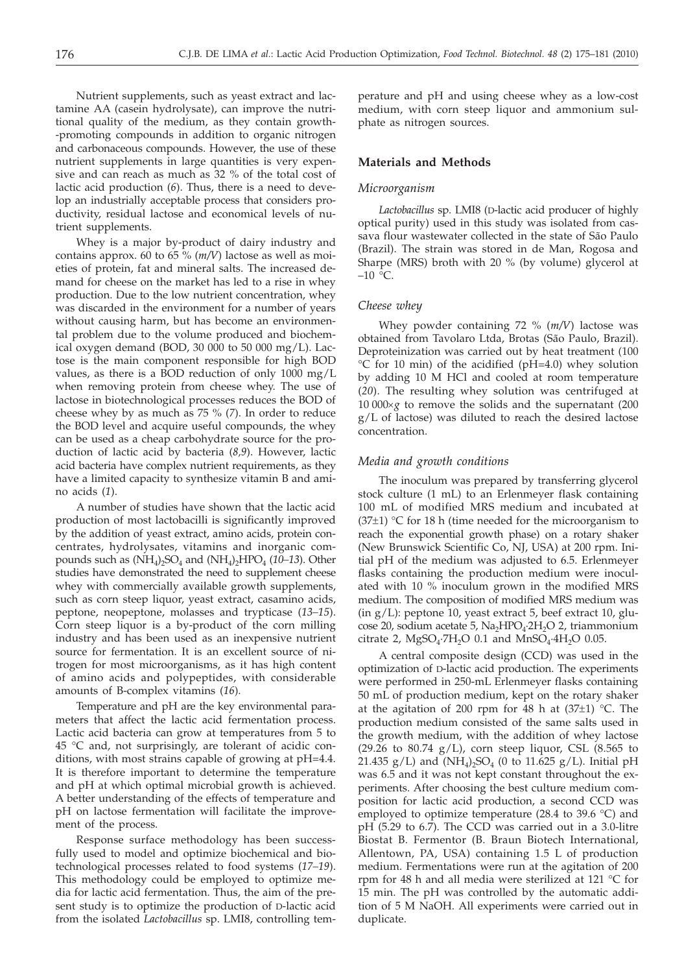Nutrient supplements, such as yeast extract and lactamine AA (casein hydrolysate), can improve the nutritional quality of the medium, as they contain growth- -promoting compounds in addition to organic nitrogen and carbonaceous compounds. However, the use of these nutrient supplements in large quantities is very expensive and can reach as much as 32 % of the total cost of lactic acid production (*6*). Thus, there is a need to develop an industrially acceptable process that considers productivity, residual lactose and economical levels of nutrient supplements.

Whey is a major by-product of dairy industry and contains approx. 60 to 65 % (*m/V*) lactose as well as moieties of protein, fat and mineral salts. The increased demand for cheese on the market has led to a rise in whey production. Due to the low nutrient concentration, whey was discarded in the environment for a number of years without causing harm, but has become an environmental problem due to the volume produced and biochemical oxygen demand (BOD, 30 000 to 50 000 mg/L). Lactose is the main component responsible for high BOD values, as there is a BOD reduction of only 1000 mg/L when removing protein from cheese whey. The use of lactose in biotechnological processes reduces the BOD of cheese whey by as much as 75 % (*7*). In order to reduce the BOD level and acquire useful compounds, the whey can be used as a cheap carbohydrate source for the production of lactic acid by bacteria (*8,9*). However, lactic acid bacteria have complex nutrient requirements, as they have a limited capacity to synthesize vitamin B and amino acids (*1*).

A number of studies have shown that the lactic acid production of most lactobacilli is significantly improved by the addition of yeast extract, amino acids, protein concentrates, hydrolysates, vitamins and inorganic compounds such as  $(NH_4)$ ,  $SO_4$  and  $(NH_4)$ ,  $HPO_4$  (10–13). Other studies have demonstrated the need to supplement cheese whey with commercially available growth supplements, such as corn steep liquor, yeast extract, casamino acids, peptone, neopeptone, molasses and trypticase (*13–15*). Corn steep liquor is a by-product of the corn milling industry and has been used as an inexpensive nutrient source for fermentation. It is an excellent source of nitrogen for most microorganisms, as it has high content of amino acids and polypeptides, with considerable amounts of B-complex vitamins (*16*).

Temperature and pH are the key environmental parameters that affect the lactic acid fermentation process. Lactic acid bacteria can grow at temperatures from 5 to 45 °C and, not surprisingly, are tolerant of acidic conditions, with most strains capable of growing at pH=4.4. It is therefore important to determine the temperature and pH at which optimal microbial growth is achieved. A better understanding of the effects of temperature and pH on lactose fermentation will facilitate the improvement of the process.

Response surface methodology has been successfully used to model and optimize biochemical and biotechnological processes related to food systems (*17–19*). This methodology could be employed to optimize media for lactic acid fermentation. Thus, the aim of the present study is to optimize the production of D-lactic acid from the isolated *Lactobacillus* sp. LMI8, controlling tem-

perature and pH and using cheese whey as a low-cost medium, with corn steep liquor and ammonium sulphate as nitrogen sources.

## **Materials and Methods**

## *Microorganism*

*Lactobacillus* sp. LMI8 (D-lactic acid producer of highly optical purity) used in this study was isolated from cassava flour wastewater collected in the state of São Paulo (Brazil). The strain was stored in de Man, Rogosa and Sharpe (MRS) broth with 20 % (by volume) glycerol at  $-10$  °C.

# *Cheese whey*

Whey powder containing 72 % (*m/V*) lactose was obtained from Tavolaro Ltda, Brotas (São Paulo, Brazil). Deproteinization was carried out by heat treatment (100 °C for 10 min) of the acidified (pH=4.0) whey solution by adding 10 M HCl and cooled at room temperature (*20*). The resulting whey solution was centrifuged at  $10\,000 \times g$  to remove the solids and the supernatant (200) g/L of lactose) was diluted to reach the desired lactose concentration.

# *Media and growth conditions*

The inoculum was prepared by transferring glycerol stock culture (1 mL) to an Erlenmeyer flask containing 100 mL of modified MRS medium and incubated at  $(37\pm1)$  °C for 18 h (time needed for the microorganism to reach the exponential growth phase) on a rotary shaker (New Brunswick Scientific Co, NJ, USA) at 200 rpm. Initial pH of the medium was adjusted to 6.5. Erlenmeyer flasks containing the production medium were inoculated with 10 % inoculum grown in the modified MRS medium. The composition of modified MRS medium was (in g/L): peptone 10, yeast extract 5, beef extract 10, glucose 20, sodium acetate 5, Na<sub>2</sub>HPO<sub>4</sub>·2H<sub>2</sub>O 2, triammonium citrate 2,  $MgSO_4$ ·7H<sub>2</sub>O 0.1 and  $MnSO_4$ ·4H<sub>2</sub>O 0.05.

A central composite design (CCD) was used in the optimization of D-lactic acid production. The experiments were performed in 250-mL Erlenmeyer flasks containing 50 mL of production medium, kept on the rotary shaker at the agitation of 200 rpm for 48 h at  $(37\pm1)$  °C. The production medium consisted of the same salts used in the growth medium, with the addition of whey lactose (29.26 to 80.74  $g/L$ ), corn steep liquor, CSL (8.565 to 21.435  $g/L$ ) and (NH<sub>4</sub>)<sub>2</sub>SO<sub>4</sub> (0 to 11.625  $g/L$ ). Initial pH was 6.5 and it was not kept constant throughout the experiments. After choosing the best culture medium composition for lactic acid production, a second CCD was employed to optimize temperature (28.4 to 39.6 °C) and pH (5.29 to 6.7). The CCD was carried out in a 3.0-litre Biostat B. Fermentor (B. Braun Biotech International, Allentown, PA, USA) containing 1.5 L of production medium. Fermentations were run at the agitation of 200 rpm for 48 h and all media were sterilized at 121 °C for 15 min. The pH was controlled by the automatic addition of 5 M NaOH. All experiments were carried out in duplicate.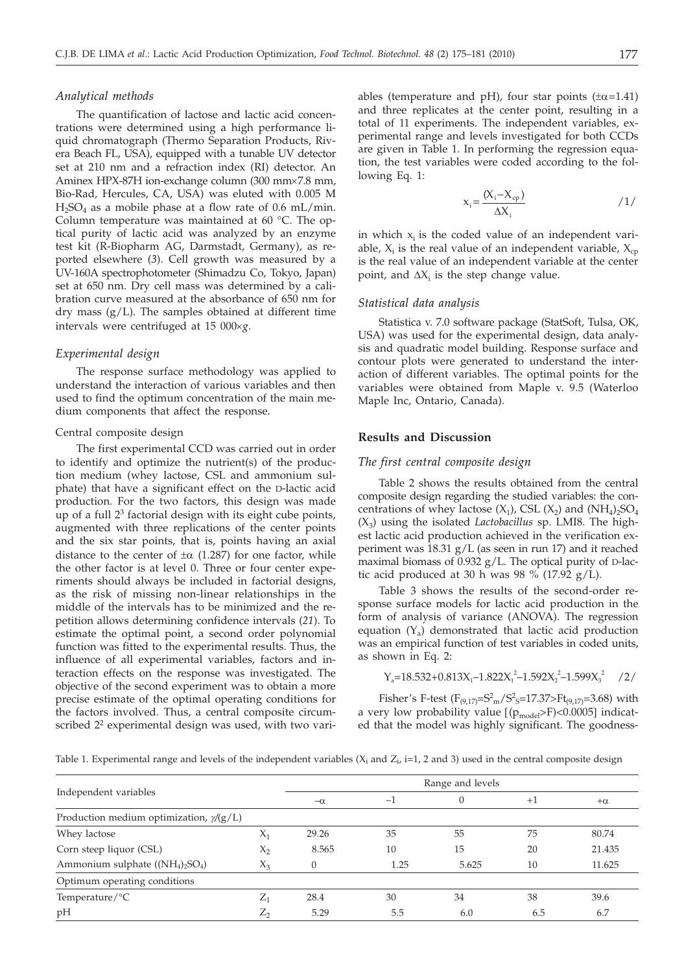## *Analytical methods*

The quantification of lactose and lactic acid concentrations were determined using a high performance liquid chromatograph (Thermo Separation Products, Rivera Beach FL, USA), equipped with a tunable UV detector set at 210 nm and a refraction index (RI) detector. An Aminex HPX-87H ion-exchange column (300 mm×7.8 mm, Bio-Rad, Hercules, CA, USA) was eluted with 0.005 M  $H<sub>2</sub>SO<sub>4</sub>$  as a mobile phase at a flow rate of 0.6 mL/min. Column temperature was maintained at 60 °C. The optical purity of lactic acid was analyzed by an enzyme test kit (R-Biopharm AG, Darmstadt, Germany), as reported elsewhere (*3*). Cell growth was measured by a UV-160A spectrophotometer (Shimadzu Co, Tokyo, Japan) set at 650 nm. Dry cell mass was determined by a calibration curve measured at the absorbance of 650 nm for dry mass (g/L). The samples obtained at different time intervals were centrifuged at 15  $000 \times g$ .

#### *Experimental design*

The response surface methodology was applied to understand the interaction of various variables and then used to find the optimum concentration of the main medium components that affect the response.

#### Central composite design

The first experimental CCD was carried out in order to identify and optimize the nutrient(s) of the production medium (whey lactose, CSL and ammonium sulphate) that have a significant effect on the D-lactic acid production. For the two factors, this design was made up of a full  $2<sup>3</sup>$  factorial design with its eight cube points, augmented with three replications of the center points and the six star points, that is, points having an axial distance to the center of  $\pm \alpha$  (1.287) for one factor, while the other factor is at level 0. Three or four center experiments should always be included in factorial designs, as the risk of missing non-linear relationships in the middle of the intervals has to be minimized and the repetition allows determining confidence intervals (*21*). To estimate the optimal point, a second order polynomial function was fitted to the experimental results. Thus, the influence of all experimental variables, factors and interaction effects on the response was investigated. The objective of the second experiment was to obtain a more precise estimate of the optimal operating conditions for the factors involved. Thus, a central composite circumscribed 2<sup>2</sup> experimental design was used, with two variables (temperature and pH), four star points  $(\pm \alpha = 1.41)$ and three replicates at the center point, resulting in a total of 11 experiments. The independent variables, experimental range and levels investigated for both CCDs are given in Table 1. In performing the regression equation, the test variables were coded according to the following Eq. 1:

$$
x_i = \frac{(X_i - X_{cp})}{\Delta X_i} \tag{1/}
$$

in which  $x_i$  is the coded value of an independent variable,  $X_i$  is the real value of an independent variable,  $X_{cp}$ is the real value of an independent variable at the center point, and  $\Delta X_i$  is the step change value.

## *Statistical data analysis*

Statistica v. 7.0 software package (StatSoft, Tulsa, OK, USA) was used for the experimental design, data analysis and quadratic model building. Response surface and contour plots were generated to understand the interaction of different variables. The optimal points for the variables were obtained from Maple v. 9.5 (Waterloo Maple Inc, Ontario, Canada).

## **Results and Discussion**

## *The first central composite design*

Table 2 shows the results obtained from the central composite design regarding the studied variables: the concentrations of whey lactose  $(X_1)$ , CSL  $(X_2)$  and  $(NH_4)_2SO_4$  $(X_3)$  using the isolated *Lactobacillus* sp. LMI8. The highest lactic acid production achieved in the verification experiment was 18.31 g/L (as seen in run 17) and it reached maximal biomass of 0.932 g/L. The optical purity of D-lactic acid produced at 30 h was 98 % (17.92  $g/L$ ).

Table 3 shows the results of the second-order response surface models for lactic acid production in the form of analysis of variance (ANOVA). The regression equation  $(Y_a)$  demonstrated that lactic acid production was an empirical function of test variables in coded units, as shown in Eq. 2:

$$
Y_a = 18.532 + 0.813X_1 - 1.822X_1^2 - 1.592X_2^2 - 1.599X_3^2 \quad /2/
$$

Fisher's F-test  $(F_{(9,17)} = S<sup>2</sup><sub>m</sub>/S<sup>2</sup><sub>S</sub>=17.37> Ft_{(9,17)}=3.68)$  with a very low probability value  $[(p_{model}>F)<0.0005]$  indicated that the model was highly significant. The goodness-

Table 1. Experimental range and levels of the independent variables  $(X_i \text{ and } Z_i, i=1, 2 \text{ and } 3)$  used in the central composite design

|                                                 |              |       | Range and levels |       |           |        |
|-------------------------------------------------|--------------|-------|------------------|-------|-----------|--------|
| Independent variables                           | $-\alpha$    | $-1$  |                  | $+1$  | $+\alpha$ |        |
| Production medium optimization, $\gamma$ /(g/L) |              |       |                  |       |           |        |
| Whey lactose                                    | $X_1$        | 29.26 | 35               | 55    | 75        | 80.74  |
| Corn steep liquor (CSL)                         | $X_{2}$      | 8.565 | 10               | 15    | 20        | 21.435 |
| Ammonium sulphate $((NH_4)_2SO_4)$              | $X_3$        |       | 1.25             | 5.625 | 10        | 11.625 |
| Optimum operating conditions                    |              |       |                  |       |           |        |
| Temperature/ ${}^{\circ}C$                      | $\rm{Z_{1}}$ | 28.4  | 30               | 34    | 38        | 39.6   |
| pH                                              | Z,           | 5.29  | 5.5              | 6.0   | 6.5       | 6.7    |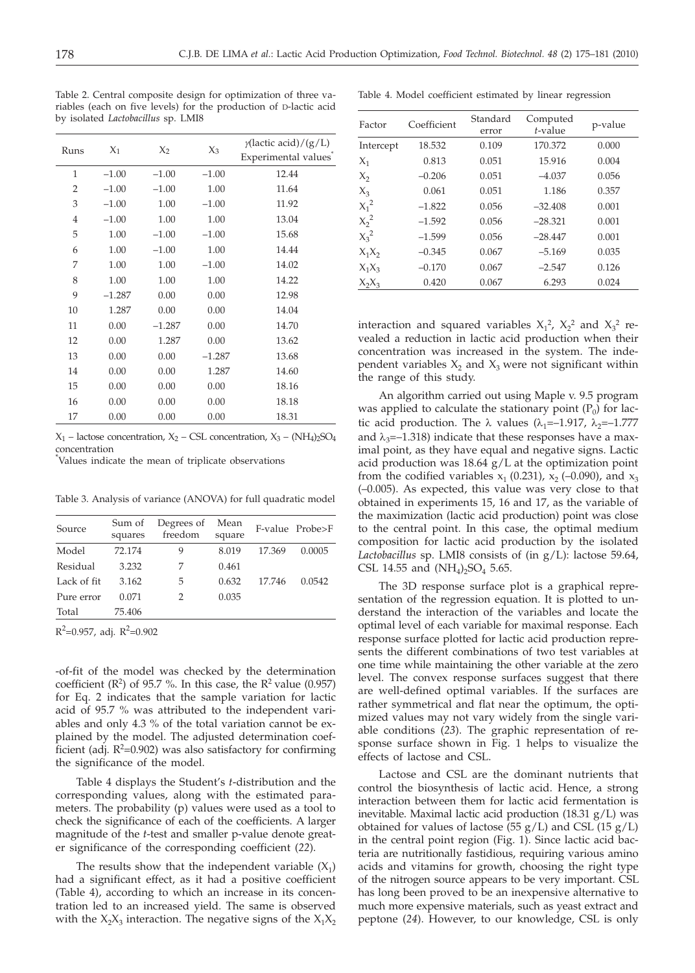Table 2. Central composite design for optimization of three variables (each on five levels) for the production of D-lactic acid by isolated *Lactobacillus* sp. LMI8

| Runs           | $X_1$    | $X_2$    | $X_3$    | $\gamma$ (lactic acid)/(g/L)<br>Experimental values <sup>*</sup> |
|----------------|----------|----------|----------|------------------------------------------------------------------|
| 1              | $-1.00$  | $-1.00$  | $-1.00$  | 12.44                                                            |
| 2              | $-1.00$  | $-1.00$  | 1.00     | 11.64                                                            |
| 3              | $-1.00$  | 1.00     | $-1.00$  | 11.92                                                            |
| $\overline{4}$ | $-1.00$  | 1.00     | 1.00     | 13.04                                                            |
| 5              | 1.00     | $-1.00$  | $-1.00$  | 15.68                                                            |
| 6              | 1.00     | $-1.00$  | 1.00     | 14.44                                                            |
| 7              | 1.00     | 1.00     | $-1.00$  | 14.02                                                            |
| 8              | 1.00     | 1.00     | 1.00     | 14.22                                                            |
| 9              | $-1.287$ | 0.00     | 0.00     | 12.98                                                            |
| 10             | 1.287    | 0.00     | 0.00     | 14.04                                                            |
| 11             | 0.00     | $-1.287$ | 0.00     | 14.70                                                            |
| 12             | 0.00     | 1.287    | 0.00     | 13.62                                                            |
| 13             | 0.00     | 0.00     | $-1.287$ | 13.68                                                            |
| 14             | 0.00     | 0.00     | 1.287    | 14.60                                                            |
| 15             | 0.00     | 0.00     | 0.00     | 18.16                                                            |
| 16             | 0.00     | 0.00     | 0.00     | 18.18                                                            |
| 17             | 0.00     | 0.00     | 0.00     | 18.31                                                            |

 $X_1$  – lactose concentration,  $X_2$  – CSL concentration,  $X_3$  – (NH<sub>4</sub>)<sub>2</sub>SO<sub>4</sub> concentration

\* Values indicate the mean of triplicate observations

Table 3. Analysis of variance (ANOVA) for full quadratic model

| Source      | Sum of<br>squares | Degrees of<br>freedom | Mean<br>square |        | F-value Probe>F |
|-------------|-------------------|-----------------------|----------------|--------|-----------------|
| Model       | 72.174            | 9                     | 8.019          | 17.369 | 0.0005          |
| Residual    | 3.232             |                       | 0.461          |        |                 |
| Lack of fit | 3.162             | 5                     | 0.632          | 17.746 | 0.0542          |
| Pure error  | 0.071             | 2                     | 0.035          |        |                 |
| Total       | 75.406            |                       |                |        |                 |

 $R^2$ =0.957, adj.  $R^2$ =0.902

-of-fit of the model was checked by the determination coefficient  $(R^2)$  of 95.7 %. In this case, the  $R^2$  value (0.957) for Eq. 2 indicates that the sample variation for lactic acid of 95.7 % was attributed to the independent variables and only 4.3 % of the total variation cannot be explained by the model. The adjusted determination coefficient (adj.  $R^2$ =0.902) was also satisfactory for confirming the significance of the model.

Table 4 displays the Student's *t*-distribution and the corresponding values, along with the estimated parameters. The probability (p) values were used as a tool to check the significance of each of the coefficients. A larger magnitude of the *t*-test and smaller p-value denote greater significance of the corresponding coefficient (*22*).

The results show that the independent variable  $(X_1)$ had a significant effect, as it had a positive coefficient (Table 4), according to which an increase in its concentration led to an increased yield. The same is observed with the  $X_2X_3$  interaction. The negative signs of the  $X_1X_2$ 

|  |  |  |  |  |  | Table 4. Model coefficient estimated by linear regression |  |  |  |  |
|--|--|--|--|--|--|-----------------------------------------------------------|--|--|--|--|
|--|--|--|--|--|--|-----------------------------------------------------------|--|--|--|--|

| Factor    | Coefficient | Standard<br>error | Computed<br>$t$ -value | p-value |
|-----------|-------------|-------------------|------------------------|---------|
| Intercept | 18.532      | 0.109             | 170.372                | 0.000   |
| $X_1$     | 0.813       | 0.051             | 15.916                 | 0.004   |
| $X_2$     | $-0.206$    | 0.051             | $-4.037$               | 0.056   |
| $X_3$     | 0.061       | 0.051             | 1.186                  | 0.357   |
| $X_1^2$   | $-1.822$    | 0.056             | $-32.408$              | 0.001   |
| $X_2^2$   | $-1.592$    | 0.056             | $-28.321$              | 0.001   |
| $X_3^2$   | $-1.599$    | 0.056             | $-28.447$              | 0.001   |
| $X_1X_2$  | $-0.345$    | 0.067             | $-5.169$               | 0.035   |
| $X_1X_3$  | $-0.170$    | 0.067             | $-2.547$               | 0.126   |
| $X_2X_3$  | 0.420       | 0.067             | 6.293                  | 0.024   |

interaction and squared variables  $X_1^2$ ,  $X_2^2$  and  $X_3^2$  revealed a reduction in lactic acid production when their concentration was increased in the system. The independent variables  $X_2$  and  $X_3$  were not significant within the range of this study.

An algorithm carried out using Maple v. 9.5 program was applied to calculate the stationary point  $(P_0)$  for lactic acid production. The  $\lambda$  values ( $\lambda_1$ =–1.917,  $\lambda_2$ =–1.777 and  $\lambda_3$ =–1.318) indicate that these responses have a maximal point, as they have equal and negative signs. Lactic acid production was  $18.64$  g/L at the optimization point from the codified variables  $x_1$  (0.231),  $x_2$  (-0.090), and  $x_3$ (–0.005). As expected, this value was very close to that obtained in experiments 15, 16 and 17, as the variable of the maximization (lactic acid production) point was close to the central point. In this case, the optimal medium composition for lactic acid production by the isolated *Lactobacillus* sp. LMI8 consists of (in g/L): lactose 59.64, CSL 14.55 and  $(NH_4)_2SO_4$  5.65.

The 3D response surface plot is a graphical representation of the regression equation. It is plotted to understand the interaction of the variables and locate the optimal level of each variable for maximal response. Each response surface plotted for lactic acid production represents the different combinations of two test variables at one time while maintaining the other variable at the zero level. The convex response surfaces suggest that there are well-defined optimal variables. If the surfaces are rather symmetrical and flat near the optimum, the optimized values may not vary widely from the single variable conditions (*23*). The graphic representation of response surface shown in Fig. 1 helps to visualize the effects of lactose and CSL.

Lactose and CSL are the dominant nutrients that control the biosynthesis of lactic acid. Hence, a strong interaction between them for lactic acid fermentation is inevitable. Maximal lactic acid production (18.31 g/L) was obtained for values of lactose  $(55 g/L)$  and CSL  $(15 g/L)$ in the central point region (Fig. 1). Since lactic acid bacteria are nutritionally fastidious, requiring various amino acids and vitamins for growth, choosing the right type of the nitrogen source appears to be very important. CSL has long been proved to be an inexpensive alternative to much more expensive materials, such as yeast extract and peptone (*24*). However, to our knowledge, CSL is only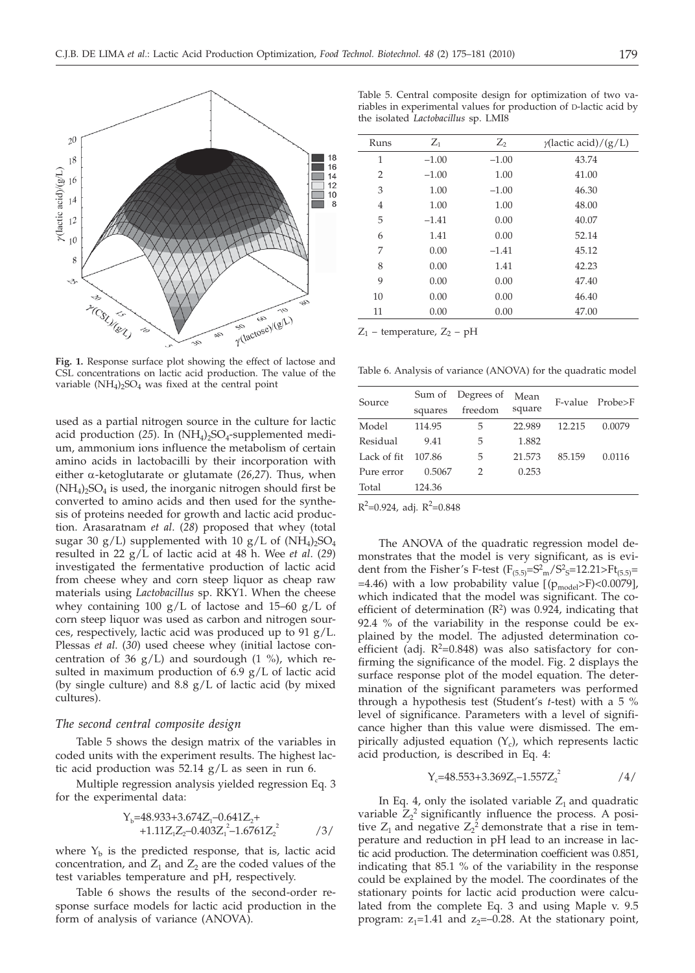

**Fig. 1.** Response surface plot showing the effect of lactose and CSL concentrations on lactic acid production. The value of the variable  $(NH_4)_2SO_4$  was fixed at the central point

used as a partial nitrogen source in the culture for lactic acid production  $(25)$ . In  $(NH<sub>4</sub>)<sub>2</sub>SO<sub>4</sub>$ -supplemented medium, ammonium ions influence the metabolism of certain amino acids in lactobacilli by their incorporation with either a-ketoglutarate or glutamate (*26,27*). Thus, when  $(NH_4)_2SO_4$  is used, the inorganic nitrogen should first be converted to amino acids and then used for the synthesis of proteins needed for growth and lactic acid production. Arasaratnam *et al*. (*28*) proposed that whey (total sugar 30 g/L) supplemented with 10 g/L of  $(NH_4)$ <sub>2</sub>SO<sub>4</sub> resulted in 22 g/L of lactic acid at 48 h. Wee *et al*. (*29*) investigated the fermentative production of lactic acid from cheese whey and corn steep liquor as cheap raw materials using *Lactobacillus* sp. RKY1. When the cheese whey containing 100  $g/L$  of lactose and 15–60  $g/L$  of corn steep liquor was used as carbon and nitrogen sources, respectively, lactic acid was produced up to 91 g/L. Plessas *et al*. (*30*) used cheese whey (initial lactose concentration of 36  $g/L$ ) and sourdough (1 %), which resulted in maximum production of 6.9 g/L of lactic acid (by single culture) and  $8.8 \text{ g/L}$  of lactic acid (by mixed cultures).

# *The second central composite design*

Table 5 shows the design matrix of the variables in coded units with the experiment results. The highest lactic acid production was 52.14 g/L as seen in run 6.

Multiple regression analysis yielded regression Eq. 3 for the experimental data:

$$
Y_b=48.933+3.674Z_1-0.641Z_2+
$$
  
+1.11Z<sub>1</sub>Z<sub>2</sub>-0.403Z<sub>1</sub><sup>2</sup>-1.6761Z<sub>2</sub><sup>2</sup>  $\qquad \qquad$  /3/

where  $Y_b$  is the predicted response, that is, lactic acid concentration, and  $Z_1$  and  $Z_2$  are the coded values of the test variables temperature and pH, respectively.

Table 6 shows the results of the second-order response surface models for lactic acid production in the form of analysis of variance (ANOVA).

Table 5. Central composite design for optimization of two variables in experimental values for production of D-lactic acid by the isolated *Lactobacillus* sp. LMI8

| Runs           | $Z_1$   | $Z_2$   | $\gamma$ (lactic acid)/(g/L) |
|----------------|---------|---------|------------------------------|
| 1              | $-1.00$ | $-1.00$ | 43.74                        |
| $\overline{2}$ | $-1.00$ | 1.00    | 41.00                        |
| 3              | 1.00    | $-1.00$ | 46.30                        |
| $\overline{4}$ | 1.00    | 1.00    | 48.00                        |
| 5              | $-1.41$ | 0.00    | 40.07                        |
| 6              | 1.41    | 0.00    | 52.14                        |
| 7              | 0.00    | $-1.41$ | 45.12                        |
| 8              | 0.00    | 1.41    | 42.23                        |
| 9              | 0.00    | 0.00    | 47.40                        |
| 10             | 0.00    | 0.00    | 46.40                        |
| 11             | 0.00    | 0.00    | 47.00                        |
|                |         |         |                              |

 $Z_1$  – temperature,  $Z_2$  – pH

Table 6. Analysis of variance (ANOVA) for the quadratic model

|             | Sum of  | Degrees of | Mean   |        | F-value Probe>F |
|-------------|---------|------------|--------|--------|-----------------|
| Source      | squares | freedom    | square |        |                 |
| Model       | 114.95  | 5          | 22.989 | 12.215 | 0.0079          |
| Residual    | 9.41    | 5          | 1.882  |        |                 |
| Lack of fit | 107.86  | 5          | 21.573 | 85.159 | 0.0116          |
| Pure error  | 0.5067  | 2          | 0.253  |        |                 |
| Total       | 124.36  |            |        |        |                 |

 $R^2$ =0.924, adj.  $R^2$ =0.848

The ANOVA of the quadratic regression model demonstrates that the model is very significant, as is evident from the Fisher's F-test ( $F_{(5.5)} = S<sup>2</sup>$ <sub>m</sub>/ $S<sup>2</sup>$ <sub>S</sub>=12.21>Ft<sub>(5.5)</sub>= =4.46) with a low probability value  $[(p_{model} > F) < 0.0079]$ , which indicated that the model was significant. The coefficient of determination  $(R^2)$  was 0.924, indicating that 92.4 % of the variability in the response could be explained by the model. The adjusted determination coefficient (adj.  $R^2=0.848$ ) was also satisfactory for confirming the significance of the model. Fig. 2 displays the surface response plot of the model equation. The determination of the significant parameters was performed through a hypothesis test (Student's *t*-test) with a 5 % level of significance. Parameters with a level of significance higher than this value were dismissed. The empirically adjusted equation  $(Y_c)$ , which represents lactic acid production, is described in Eq. 4:

$$
Y_c = 48.553 + 3.369Z_1 - 1.557Z_2^2 \qquad \qquad /4/
$$

In Eq. 4, only the isolated variable  $Z_1$  and quadratic variable  $Z_2^2$  significantly influence the process. A positive  $Z_1$  and negative  $Z_2^2$  demonstrate that a rise in temperature and reduction in pH lead to an increase in lactic acid production. The determination coefficient was 0.851, indicating that 85.1 % of the variability in the response could be explained by the model. The coordinates of the stationary points for lactic acid production were calculated from the complete Eq. 3 and using Maple v. 9.5 program:  $z_1$ =1.41 and  $z_2$ =-0.28. At the stationary point,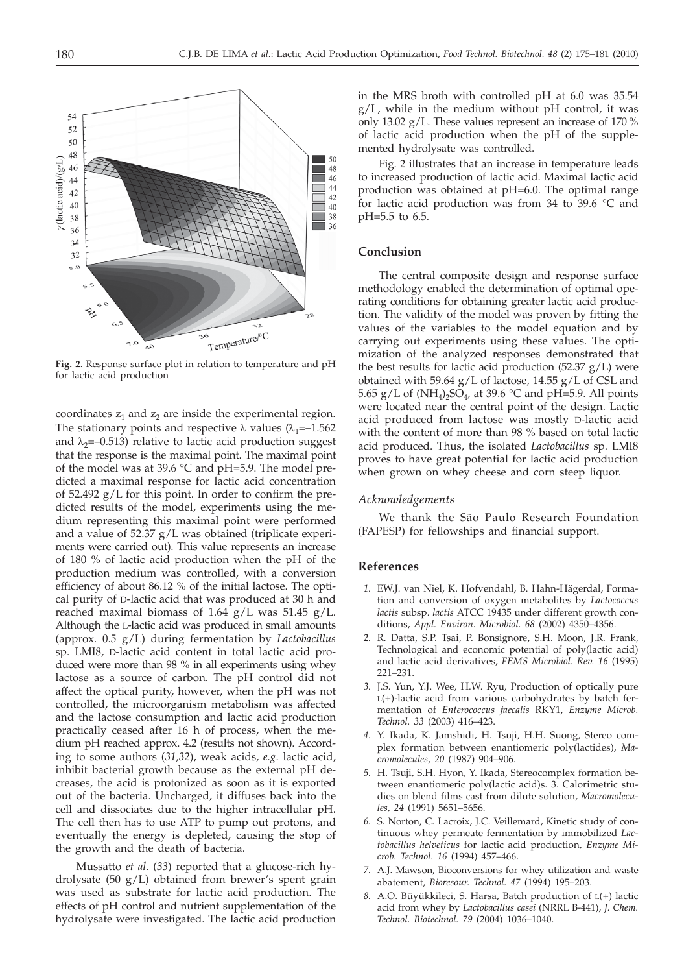

**Fig. 2**. Response surface plot in relation to temperature and pH for lactic acid production

coordinates  $z_1$  and  $z_2$  are inside the experimental region. The stationary points and respective  $\lambda$  values ( $\lambda_1$ =–1.562 and  $\lambda_2$ =–0.513) relative to lactic acid production suggest that the response is the maximal point. The maximal point of the model was at 39.6 °C and pH=5.9. The model predicted a maximal response for lactic acid concentration of 52.492 g/L for this point. In order to confirm the predicted results of the model, experiments using the medium representing this maximal point were performed and a value of 52.37 g/L was obtained (triplicate experiments were carried out). This value represents an increase of 180 % of lactic acid production when the pH of the production medium was controlled, with a conversion efficiency of about 86.12 % of the initial lactose. The optical purity of D-lactic acid that was produced at 30 h and reached maximal biomass of 1.64  $g/L$  was 51.45  $g/L$ . Although the L-lactic acid was produced in small amounts (approx. 0.5 g/L) during fermentation by *Lactobacillus* sp. LMI8, D-lactic acid content in total lactic acid produced were more than 98 % in all experiments using whey lactose as a source of carbon. The pH control did not affect the optical purity, however, when the pH was not controlled, the microorganism metabolism was affected and the lactose consumption and lactic acid production practically ceased after 16 h of process, when the medium pH reached approx. 4.2 (results not shown). According to some authors (*31,32*), weak acids, *e.g*. lactic acid, inhibit bacterial growth because as the external pH decreases, the acid is protonized as soon as it is exported out of the bacteria. Uncharged, it diffuses back into the cell and dissociates due to the higher intracellular pH. The cell then has to use ATP to pump out protons, and eventually the energy is depleted, causing the stop of the growth and the death of bacteria.

Mussatto *et al*. (*33*) reported that a glucose-rich hydrolysate (50 g/L) obtained from brewer's spent grain was used as substrate for lactic acid production. The effects of pH control and nutrient supplementation of the hydrolysate were investigated. The lactic acid production in the MRS broth with controlled pH at 6.0 was 35.54 g/L, while in the medium without pH control, it was only 13.02 g/L. These values represent an increase of 170 % of lactic acid production when the pH of the supplemented hydrolysate was controlled.

Fig. 2 illustrates that an increase in temperature leads to increased production of lactic acid. Maximal lactic acid production was obtained at pH=6.0. The optimal range for lactic acid production was from 34 to 39.6 °C and pH=5.5 to 6.5.

# **Conclusion**

The central composite design and response surface methodology enabled the determination of optimal operating conditions for obtaining greater lactic acid production. The validity of the model was proven by fitting the values of the variables to the model equation and by carrying out experiments using these values. The optimization of the analyzed responses demonstrated that the best results for lactic acid production (52.37 g/L) were obtained with 59.64  $g/L$  of lactose, 14.55  $g/L$  of CSL and 5.65 g/L of  $(NH_4)_2SO_4$ , at 39.6 °C and pH=5.9. All points were located near the central point of the design. Lactic acid produced from lactose was mostly D-lactic acid with the content of more than 98 % based on total lactic acid produced. Thus, the isolated *Lactobacillus* sp. LMI8 proves to have great potential for lactic acid production when grown on whey cheese and corn steep liquor.

# *Acknowledgements*

We thank the São Paulo Research Foundation (FAPESP) for fellowships and financial support.

## **References**

- *1.* EW.J. van Niel, K. Hofvendahl, B. Hahn-Hägerdal, Formation and conversion of oxygen metabolites by *Lactococcus lactis* subsp. *lactis* ATCC 19435 under different growth conditions, *Appl. Environ. Microbiol. 68* (2002) 4350–4356.
- *2.* R. Datta, S.P. Tsai, P. Bonsignore, S.H. Moon, J.R. Frank, Technological and economic potential of poly(lactic acid) and lactic acid derivatives, *FEMS Microbiol. Rev. 16* (1995) 221–231.
- *3.* J.S. Yun, Y.J. Wee, H.W. Ryu, Production of optically pure  $L(+)$ -lactic acid from various carbohydrates by batch fermentation of *Enterococcus faecalis* RKY1, *Enzyme Microb. Technol. 33* (2003) 416–423.
- *4.* Y. Ikada, K. Jamshidi, H. Tsuji, H.H. Suong, Stereo complex formation between enantiomeric poly(lactides), *Macromolecules*, *20* (1987) 904–906.
- *5.* H. Tsuji, S.H. Hyon, Y. Ikada, Stereocomplex formation between enantiomeric poly(lactic acid)s. 3. Calorimetric studies on blend films cast from dilute solution, *Macromolecules*, *24* (1991) 5651–5656.
- *6.* S. Norton, C. Lacroix, J.C. Veillemard, Kinetic study of continuous whey permeate fermentation by immobilized *Lactobacillus helveticus* for lactic acid production, *Enzyme Microb. Technol. 16* (1994) 457–466.
- *7.* A.J. Mawson, Bioconversions for whey utilization and waste abatement, *Bioresour. Technol. 47* (1994) 195–203.
- *8.* A.O. Büyükkileci, S. Harsa, Batch production of L(+) lactic acid from whey by *Lactobacillus casei* (NRRL B-441), *J. Chem. Technol. Biotechnol. 79* (2004) 1036–1040.